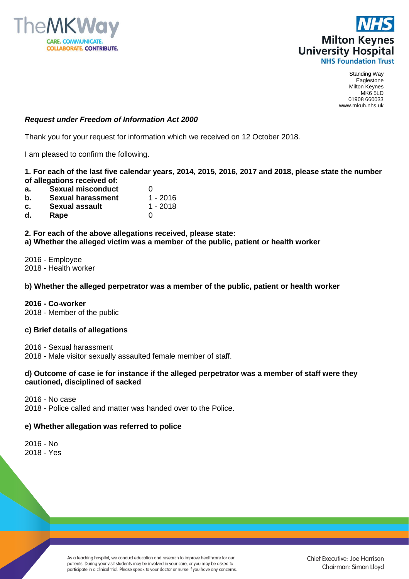



# *Request under Freedom of Information Act 2000*

Thank you for your request for information which we received on 12 October 2018.

I am pleased to confirm the following.

**1. For each of the last five calendar years, 2014, 2015, 2016, 2017 and 2018, please state the number of allegations received of:**

- **a.** Sexual misconduct 0
- **b. Sexual harassment** 1 2016
- **c. Sexual assault** 1 2018<br>**d. Rape** 0
- **Rape** 0

**2. For each of the above allegations received, please state: a) Whether the alleged victim was a member of the public, patient or health worker**

2016 - Employee 2018 - Health worker

### **b) Whether the alleged perpetrator was a member of the public, patient or health worker**

**2016 - Co-worker** 

2018 - Member of the public

#### **c) Brief details of allegations**

2016 - Sexual harassment

2018 - Male visitor sexually assaulted female member of staff.

### **d) Outcome of case ie for instance if the alleged perpetrator was a member of staff were they cautioned, disciplined of sacked**

2016 - No case

2018 - Police called and matter was handed over to the Police.

# **e) Whether allegation was referred to police**

2016 - No 2018 - Yes

> As a teaching hospital, we conduct education and research to improve healthcare for our patients. During your visit students may be involved in your care, or you may be asked to participate in a clinical trial. Please speak to your doctor or nurse if you have any concerns.

Chief Executive: Joe Harrison Chairman: Simon Lloyd